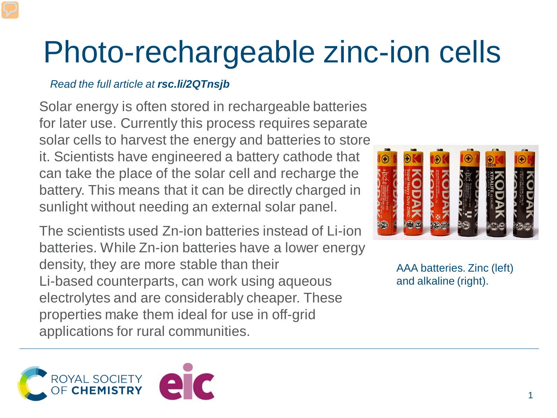## Photo-rechargeable zinc-ion cells

## *Read the full article at rsc.li/2QTnsjb*

Solar energy is often stored in rechargeable batteries for later use. Currently this process requires separate solar cells to harvest the energy and batteries to store it. Scientists have engineered a battery cathode that can take the place of the solar cell and recharge the battery. This means that it can be directly charged in sunlight without needing an external solar panel.

The scientists used Zn-ion batteries instead of Li-ion batteries. While Zn-ion batteries have a lower energy density, they are more stable than their Li-based counterparts, can work using aqueous electrolytes and are considerably cheaper. These properties make them ideal for use in off-grid applications for rural communities.



AAA batteries. Zinc (left) and alkaline (right).